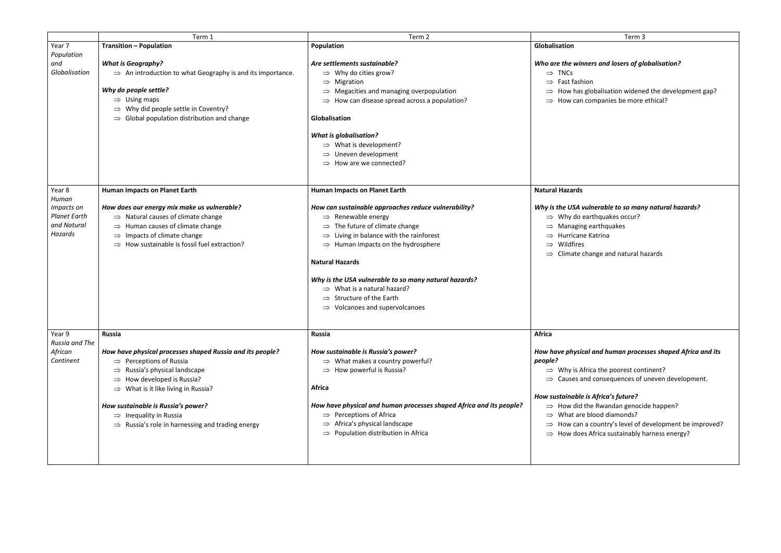|                         | Term 3                                                                                                                                                                                                                                                                  |
|-------------------------|-------------------------------------------------------------------------------------------------------------------------------------------------------------------------------------------------------------------------------------------------------------------------|
| Globalisation           |                                                                                                                                                                                                                                                                         |
| $\Rightarrow$ TNCs      | Who are the winners and losers of globalisation?<br>$\Rightarrow$ Fast fashion<br>$\Rightarrow$ How has globalisation widened the development gap?<br>$\Rightarrow$ How can companies be more ethical?                                                                  |
| <b>Natural Hazards</b>  |                                                                                                                                                                                                                                                                         |
| $\Rightarrow$ Wildfires | Why is the USA vulnerable to so many natural hazards?<br>$\Rightarrow$ Why do earthquakes occur?<br>$\Rightarrow$ Managing earthquakes<br>$\Rightarrow$ Hurricane Katrina<br>$\Rightarrow$ Climate change and natural hazards                                           |
| <b>Africa</b>           |                                                                                                                                                                                                                                                                         |
| people?                 | How have physical and human processes shaped Africa and its<br>$\Rightarrow$ Why is Africa the poorest continent?<br>$\Rightarrow$ Causes and consequences of uneven development.                                                                                       |
|                         | How sustainable is Africa's future?<br>$\Rightarrow$ How did the Rwandan genocide happen?<br>$\Rightarrow$ What are blood diamonds?<br>$\Rightarrow$ How can a country's level of development be improved?<br>$\Rightarrow$ How does Africa sustainably harness energy? |

|                          | Term 1                                                                 | Term 2                                                              | Term 3                                          |
|--------------------------|------------------------------------------------------------------------|---------------------------------------------------------------------|-------------------------------------------------|
| Year 7                   | <b>Transition - Population</b>                                         | Population                                                          | Globalisation                                   |
| Population               |                                                                        |                                                                     |                                                 |
| and                      | <b>What is Geography?</b>                                              | Are settlements sustainable?                                        | Who are the winners and losers of gl            |
| Globalisation            | $\Rightarrow$ An introduction to what Geography is and its importance. | $\Rightarrow$ Why do cities grow?                                   | $\Rightarrow$ TNCs                              |
|                          |                                                                        | $\Rightarrow$ Migration                                             | Fast fashion<br>$\Rightarrow$                   |
|                          | Why do people settle?                                                  | $\Rightarrow$ Megacities and managing overpopulation                | How has globalisation widene                    |
|                          | $\Rightarrow$ Using maps                                               | $\Rightarrow$ How can disease spread across a population?           | How can companies be more<br>$\Rightarrow$      |
|                          | Why did people settle in Coventry?                                     |                                                                     |                                                 |
|                          | $\Rightarrow$ Global population distribution and change                | Globalisation                                                       |                                                 |
|                          |                                                                        | <b>What is globalisation?</b>                                       |                                                 |
|                          |                                                                        | $\Rightarrow$ What is development?                                  |                                                 |
|                          |                                                                        | $\Rightarrow$ Uneven development                                    |                                                 |
|                          |                                                                        | $\Rightarrow$ How are we connected?                                 |                                                 |
|                          |                                                                        |                                                                     |                                                 |
|                          |                                                                        |                                                                     | <b>Natural Hazards</b>                          |
| Year 8<br>Human          | Human Impacts on Planet Earth                                          | <b>Human Impacts on Planet Earth</b>                                |                                                 |
| Impacts on               | How does our energy mix make us vulnerable?                            | How can sustainable approaches reduce vulnerability?                | Why is the USA vulnerable to so man             |
| <b>Planet Earth</b>      |                                                                        |                                                                     |                                                 |
| and Natural              | $\Rightarrow$ Natural causes of climate change                         | $\Rightarrow$ Renewable energy                                      | $\Rightarrow$ Why do earthquakes occur?         |
| Hazards                  | $\Rightarrow$ Human causes of climate change                           | $\Rightarrow$ The future of climate change                          | Managing earthquakes                            |
|                          | $\Rightarrow$ Impacts of climate change                                | $\Rightarrow$ Living in balance with the rainforest                 | Hurricane Katrina                               |
|                          | $\Rightarrow$ How sustainable is fossil fuel extraction?               | $\Rightarrow$ Human impacts on the hydrosphere                      | Wildfires<br>$\Rightarrow$                      |
|                          |                                                                        |                                                                     | Climate change and natural h                    |
|                          |                                                                        | <b>Natural Hazards</b>                                              |                                                 |
|                          |                                                                        | Why is the USA vulnerable to so many natural hazards?               |                                                 |
|                          |                                                                        | $\Rightarrow$ What is a natural hazard?                             |                                                 |
|                          |                                                                        | $\Rightarrow$ Structure of the Earth                                |                                                 |
|                          |                                                                        | $\Rightarrow$ Volcanoes and supervolcanoes                          |                                                 |
|                          |                                                                        |                                                                     |                                                 |
| Year 9<br>Russia and The | <b>Russia</b>                                                          | <b>Russia</b>                                                       | <b>Africa</b>                                   |
| African                  | How have physical processes shaped Russia and its people?              | How sustainable is Russia's power?                                  | How have physical and human proce               |
| Continent                | $\Rightarrow$ Perceptions of Russia                                    | $\Rightarrow$ What makes a country powerful?                        | people?                                         |
|                          | $\Rightarrow$ Russia's physical landscape                              | $\Rightarrow$ How powerful is Russia?                               | $\Rightarrow$ Why is Africa the poorest con     |
|                          | $\Rightarrow$ How developed is Russia?                                 |                                                                     | $\Rightarrow$ Causes and consequences of        |
|                          | $\Rightarrow$ What is it like living in Russia?                        | <b>Africa</b>                                                       |                                                 |
|                          |                                                                        |                                                                     | How sustainable is Africa's future?             |
|                          | How sustainable is Russia's power?                                     | How have physical and human processes shaped Africa and its people? | $\Rightarrow$ How did the Rwandan genoci-       |
|                          | $\Rightarrow$ Inequality in Russia                                     | $\Rightarrow$ Perceptions of Africa                                 | What are blood diamonds?<br>$\Rightarrow$       |
|                          | $\Rightarrow$ Russia's role in harnessing and trading energy           | Africa's physical landscape                                         | How can a country's level of o<br>$\Rightarrow$ |
|                          |                                                                        | $\Rightarrow$ Population distribution in Africa                     | $\Rightarrow$ How does Africa sustainably h     |
|                          |                                                                        |                                                                     |                                                 |
|                          |                                                                        |                                                                     |                                                 |
|                          |                                                                        |                                                                     |                                                 |